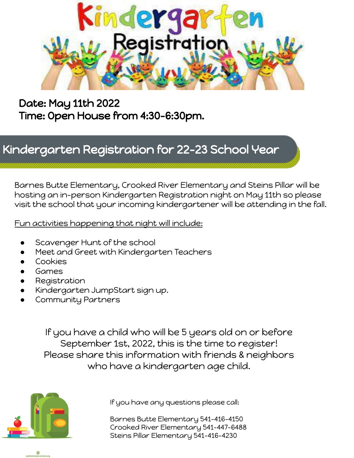

## Date: May 11th 2022 Time: Open House from 4:30-6:30pm.

## Kindergarten Registration for 22-23 School Year

Barnes Butte Elementary, Crooked River Elementary and Steins Pillar will be hosting an in-person Kindergarten Registration night on May 11th so please visit the school that your incoming kindergartener will be attending in the fall.

Fun activities happening that night will include:

- Scavenger Hunt of the school
- Meet and Greet with Kindergarten Teachers
- **Cookies**
- **Games**
- Registration
- Kindergarten JumpStart sign up.
- Community Partners

If you have a child who will be 5 years old on or before September 1st, 2022, this is the time to register! Please share this information with friends & neighbors who have a kindergarten age child.



If you have any questions please call:

Barnes Butte Elementary 541-416-4150 Crooked River Elementary 541-447-6488 Steins Pillar Elementary 541-416-4230